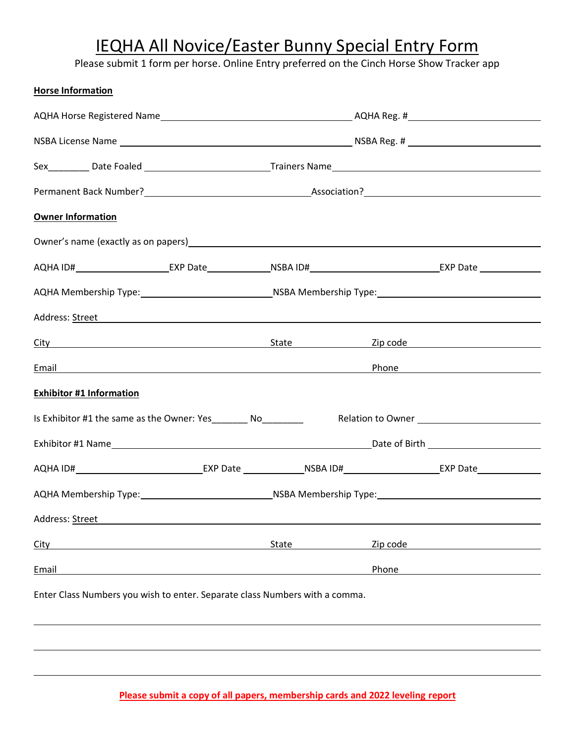# IEQHA All Novice/Easter Bunny Special Entry Form

Please submit 1 form per horse. Online Entry preferred on the Cinch Horse Show Tracker app

| <b>Horse Information</b>                                                                                                                                                                                                             |                                                                                     |       |          |                                                                                                                                                                                |
|--------------------------------------------------------------------------------------------------------------------------------------------------------------------------------------------------------------------------------------|-------------------------------------------------------------------------------------|-------|----------|--------------------------------------------------------------------------------------------------------------------------------------------------------------------------------|
|                                                                                                                                                                                                                                      |                                                                                     |       |          |                                                                                                                                                                                |
|                                                                                                                                                                                                                                      |                                                                                     |       |          |                                                                                                                                                                                |
|                                                                                                                                                                                                                                      |                                                                                     |       |          |                                                                                                                                                                                |
|                                                                                                                                                                                                                                      |                                                                                     |       |          |                                                                                                                                                                                |
| <b>Owner Information</b>                                                                                                                                                                                                             |                                                                                     |       |          |                                                                                                                                                                                |
|                                                                                                                                                                                                                                      |                                                                                     |       |          |                                                                                                                                                                                |
|                                                                                                                                                                                                                                      |                                                                                     |       |          |                                                                                                                                                                                |
|                                                                                                                                                                                                                                      | AQHA Membership Type: 1990-1990-1990-2012 MSBA Membership Type: 1990-2020-2020-2020 |       |          |                                                                                                                                                                                |
|                                                                                                                                                                                                                                      |                                                                                     |       |          |                                                                                                                                                                                |
| <u>City</u> City City Contains the Contract of City Contains the City Contains the City Contains the City Contains of City Contains the City Contains the City Contains the City Contains the City Contains the City Contains the C  |                                                                                     |       |          |                                                                                                                                                                                |
| <u>Email Production and the set of the set of the set of the set of the set of the set of the set of the set of the set of the set of the set of the set of the set of the set of the set of the set of the set of the set of th</u> |                                                                                     |       |          | Phone <b>Phone Phone Phone Phone Phone Phone Phone Phone Phone Phone Phone Phone Phone Phone Phone Phone Phone Phone Phone Phone Phone Phone Phone Phone Phone Phone Phone</b> |
| <b>Exhibitor #1 Information</b>                                                                                                                                                                                                      |                                                                                     |       |          |                                                                                                                                                                                |
| Is Exhibitor #1 the same as the Owner: Yes_________ No_________                                                                                                                                                                      |                                                                                     |       |          |                                                                                                                                                                                |
|                                                                                                                                                                                                                                      |                                                                                     |       |          |                                                                                                                                                                                |
| AQHA ID# The Text Date Text Date Text October 1971 COMM AND THE TEXT Of THE TEXT Of THE TEXT OF THE TEXT OF TH                                                                                                                       |                                                                                     |       |          |                                                                                                                                                                                |
|                                                                                                                                                                                                                                      |                                                                                     |       |          |                                                                                                                                                                                |
| Address: Street                                                                                                                                                                                                                      |                                                                                     |       |          |                                                                                                                                                                                |
| City                                                                                                                                                                                                                                 |                                                                                     | State | Zip code |                                                                                                                                                                                |
| Email                                                                                                                                                                                                                                |                                                                                     |       | Phone    |                                                                                                                                                                                |
| Enter Class Numbers you wish to enter. Separate class Numbers with a comma.                                                                                                                                                          |                                                                                     |       |          |                                                                                                                                                                                |
|                                                                                                                                                                                                                                      |                                                                                     |       |          |                                                                                                                                                                                |
|                                                                                                                                                                                                                                      |                                                                                     |       |          |                                                                                                                                                                                |

**Please submit a copy of all papers, membership cards and 2022 leveling report**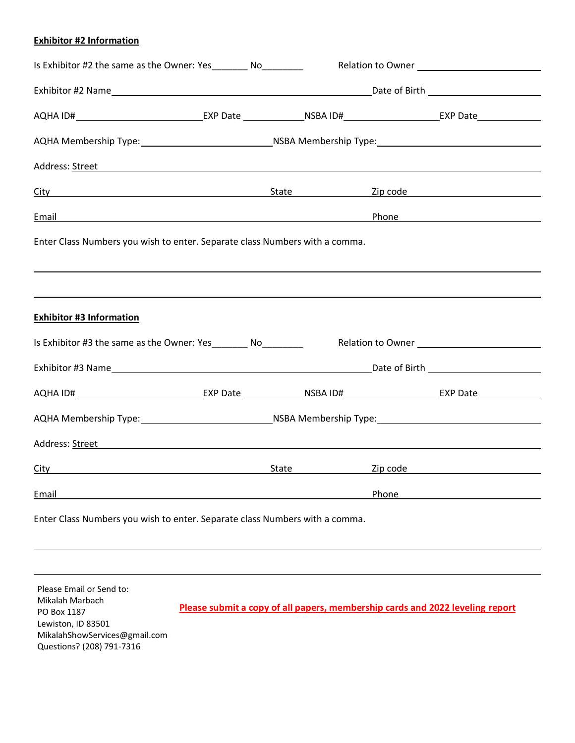#### **Exhibitor #2 Information**

| Is Exhibitor #2 the same as the Owner: Yes__________ No_________                                                                                                                                                                    |  |                                                                                       |  |                                                                                                                                                                                                                               |  |
|-------------------------------------------------------------------------------------------------------------------------------------------------------------------------------------------------------------------------------------|--|---------------------------------------------------------------------------------------|--|-------------------------------------------------------------------------------------------------------------------------------------------------------------------------------------------------------------------------------|--|
|                                                                                                                                                                                                                                     |  |                                                                                       |  |                                                                                                                                                                                                                               |  |
|                                                                                                                                                                                                                                     |  |                                                                                       |  |                                                                                                                                                                                                                               |  |
| AQHA Membership Type: 1990-1990-1990-2003 NSBA Membership Type: 1990-2004 NSBA Membership Type:                                                                                                                                     |  |                                                                                       |  |                                                                                                                                                                                                                               |  |
|                                                                                                                                                                                                                                     |  |                                                                                       |  |                                                                                                                                                                                                                               |  |
| <u>City</u> City City State City State City State City Code City Contact City City Code City Code City Code City Code City Code City Code City Code City Code City Code City Code City Code City Code City Code City Code City Code |  |                                                                                       |  |                                                                                                                                                                                                                               |  |
| Email Phone Phone Phone Phone Phone Phone Phone Phone Phone Phone Phone Phone Phone Phone Phone Phone Phone Phone Phone Phone Phone Phone Phone Phone Phone Phone Phone Phone Phone Phone Phone Phone Phone Phone Phone Phone       |  |                                                                                       |  |                                                                                                                                                                                                                               |  |
| Enter Class Numbers you wish to enter. Separate class Numbers with a comma.                                                                                                                                                         |  |                                                                                       |  |                                                                                                                                                                                                                               |  |
|                                                                                                                                                                                                                                     |  |                                                                                       |  |                                                                                                                                                                                                                               |  |
| ,我们也不会有什么。""我们的人,我们也不会有什么?""我们的人,我们也不会有什么?""我们的人,我们也不会有什么?""我们的人,我们也不会有什么?""我们的人                                                                                                                                                    |  |                                                                                       |  |                                                                                                                                                                                                                               |  |
| <b>Exhibitor #3 Information</b>                                                                                                                                                                                                     |  |                                                                                       |  |                                                                                                                                                                                                                               |  |
| Is Exhibitor #3 the same as the Owner: Yes __________ No__________                                                                                                                                                                  |  |                                                                                       |  |                                                                                                                                                                                                                               |  |
|                                                                                                                                                                                                                                     |  |                                                                                       |  |                                                                                                                                                                                                                               |  |
|                                                                                                                                                                                                                                     |  |                                                                                       |  |                                                                                                                                                                                                                               |  |
|                                                                                                                                                                                                                                     |  | AQHA Membership Type: 1990-1990 MSBA Membership Type: 1990-2000 MSBA Membership Type: |  |                                                                                                                                                                                                                               |  |
| Address: Street Address: According to the Address: Address: Address: Address: Address: Address: Address: Address: Address: Address: Address: Address: Address: Address: Address: Address: Address: Address: Address: Address:       |  |                                                                                       |  |                                                                                                                                                                                                                               |  |
| City City City City Contact City Contact City Contact City Contact City Contact City Contact City Contact City                                                                                                                      |  |                                                                                       |  |                                                                                                                                                                                                                               |  |
| Email <b>Example 2018</b> The Contract of the Contract of the Contract of the Contract of the Contract of the Contract of the Contract of the Contract of the Contract of the Contract of the Contract of the Contract of the Contr |  |                                                                                       |  | Phone and the contract of the contract of the contract of the contract of the contract of the contract of the contract of the contract of the contract of the contract of the contract of the contract of the contract of the |  |
| Enter Class Numbers you wish to enter. Separate class Numbers with a comma.                                                                                                                                                         |  |                                                                                       |  |                                                                                                                                                                                                                               |  |

 **Please submit a copy of all papers, membership cards and 2022 leveling report** Please Email or Send to: Mikalah Marbach PO Box 1187 Lewiston, ID 83501 MikalahShowServices@gmail.com Questions? (208) 791-7316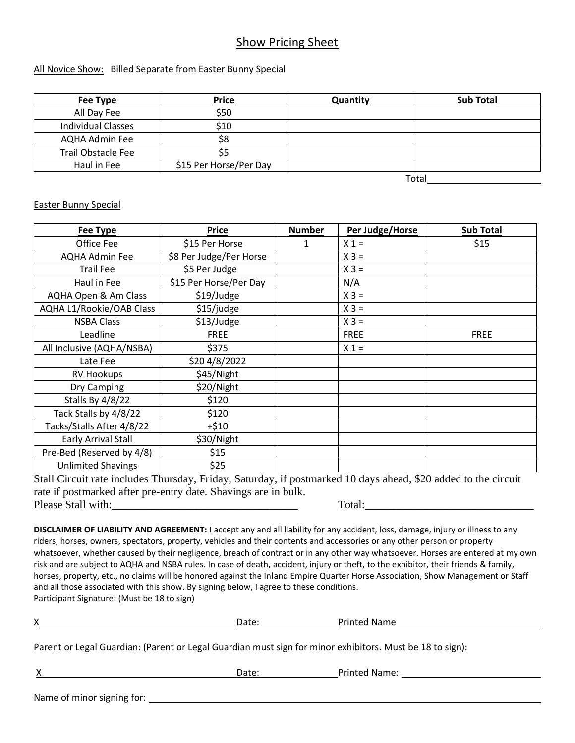### Show Pricing Sheet

#### All Novice Show: Billed Separate from Easter Bunny Special

| Fee Type                  | <b>Price</b>           | Quantity | <b>Sub Total</b> |
|---------------------------|------------------------|----------|------------------|
| All Day Fee               | \$50                   |          |                  |
| Individual Classes        | \$10                   |          |                  |
| AQHA Admin Fee            | \$8                    |          |                  |
| <b>Trail Obstacle Fee</b> | \$5.                   |          |                  |
| Haul in Fee               | \$15 Per Horse/Per Day |          |                  |

Total

#### Easter Bunny Special

| <b>Fee Type</b>            | <b>Price</b>            | <b>Number</b> | Per Judge/Horse | <b>Sub Total</b> |
|----------------------------|-------------------------|---------------|-----------------|------------------|
| Office Fee                 | \$15 Per Horse          | 1             | $X_1 =$         | \$15             |
| <b>AQHA Admin Fee</b>      | \$8 Per Judge/Per Horse |               | $X 3 =$         |                  |
| <b>Trail Fee</b>           | \$5 Per Judge           |               | $X 3 =$         |                  |
| Haul in Fee                | \$15 Per Horse/Per Day  |               | N/A             |                  |
| AQHA Open & Am Class       | \$19/Judge              |               | $X 3 =$         |                  |
| AQHA L1/Rookie/OAB Class   | \$15/judge              |               | $X 3 =$         |                  |
| <b>NSBA Class</b>          | \$13/Judge              |               | $X 3 =$         |                  |
| Leadline                   | <b>FREE</b>             |               | <b>FREE</b>     | <b>FREE</b>      |
| All Inclusive (AQHA/NSBA)  | \$375                   |               | $X_1 =$         |                  |
| Late Fee                   | \$20 4/8/2022           |               |                 |                  |
| <b>RV Hookups</b>          | \$45/Night              |               |                 |                  |
| Dry Camping                | \$20/Night              |               |                 |                  |
| Stalls By 4/8/22           | \$120                   |               |                 |                  |
| Tack Stalls by 4/8/22      | \$120                   |               |                 |                  |
| Tacks/Stalls After 4/8/22  | $+ $10$                 |               |                 |                  |
| <b>Early Arrival Stall</b> | \$30/Night              |               |                 |                  |
| Pre-Bed (Reserved by 4/8)  | \$15                    |               |                 |                  |
| <b>Unlimited Shavings</b>  | \$25                    |               |                 |                  |

Stall Circuit rate includes Thursday, Friday, Saturday, if postmarked 10 days ahead, \$20 added to the circuit rate if postmarked after pre-entry date. Shavings are in bulk. Please Stall with: Total:

**DISCLAIMER OF LIABILITY AND AGREEMENT:** I accept any and all liability for any accident, loss, damage, injury or illness to any riders, horses, owners, spectators, property, vehicles and their contents and accessories or any other person or property whatsoever, whether caused by their negligence, breach of contract or in any other way whatsoever. Horses are entered at my own risk and are subject to AQHA and NSBA rules. In case of death, accident, injury or theft, to the exhibitor, their friends & family, horses, property, etc., no claims will be honored against the Inland Empire Quarter Horse Association, Show Management or Staff and all those associated with this show. By signing below, I agree to these conditions. Participant Signature: (Must be 18 to sign)

X Date: Date: Printed Name

Parent or Legal Guardian: (Parent or Legal Guardian must sign for minor exhibitors. Must be 18 to sign):

X Date: Date: Printed Name: 2008. 2012. 2014. 2016. 2017. 2018. 2019. 2017. 2018. 2019. 2017. 2018. 2019. 2017

Name of minor signing for:  $\overline{\phantom{a}}$